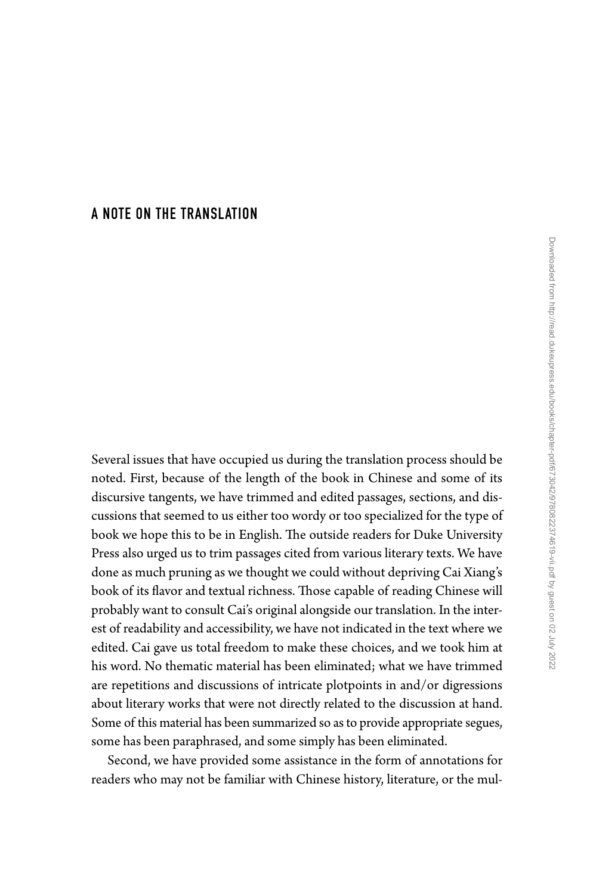## [A NOTE ON THE TRANSLATION](#page--1-0)

Several issues that have occupied us during the translation process should be noted. First, because of the length of the book in Chinese and some of its discursive tangents, we have trimmed and edited passages, sections, and discussions that seemed to us either too wordy or too specialized for the type of book we hope this to be in English. The outside readers for Duke University Press also urged us to trim passages cited from various literary texts. We have done as much pruning as we thought we could without depriving Cai Xiang's book of its flavor and textual richness. Those capable of reading Chinese will probably want to consult Cai's original alongside our translation. In the interest of readability and accessibility, we have not indicated in the text where we edited. Cai gave us total freedom to make these choices, and we took him at his word. No thematic material has been eliminated; what we have trimmed are repetitions and discussions of intricate plotpoints in and/or digressions about literary works that were not directly related to the discussion at hand. Some of this material has been summarized so as to provide appropriate segues, some has been paraphrased, and some simply has been eliminated.

Second, we have provided some assistance in the form of annotations for readers who may not be familiar with Chinese history, literature, or the mul